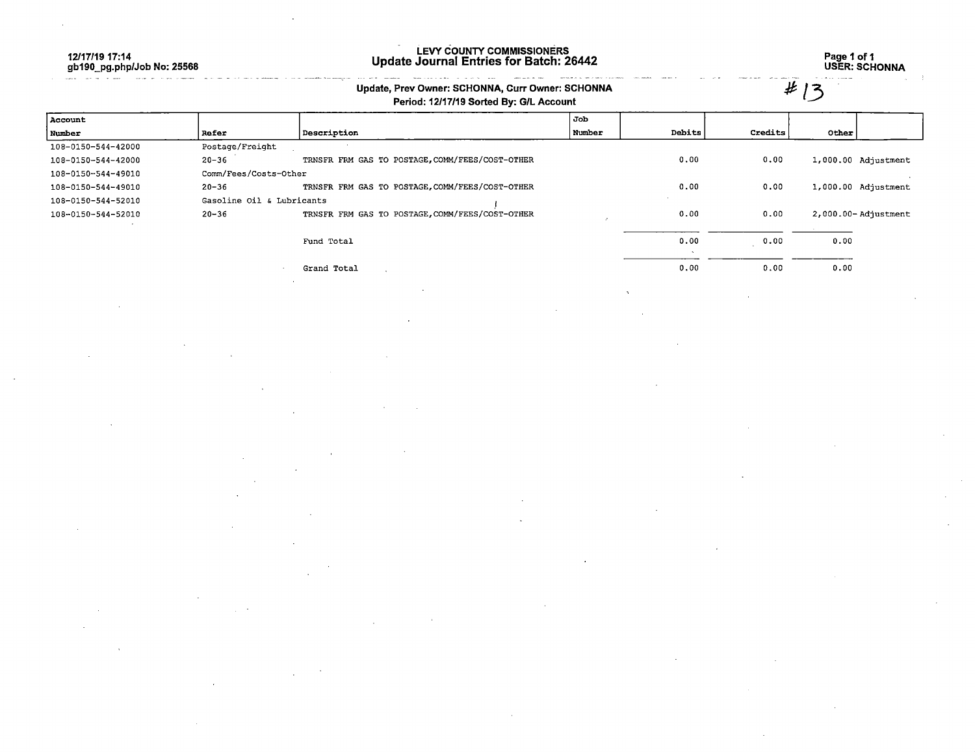12/17/19 17:14 gb190\_pg.php/Job No: 25568

**South All Property Com** 

#### LEVY COUNTY COMMISSIONERS Update Journal Entries for Batch: 26442

 $\frac{1}{2} \left( \frac{1}{2} \left( \frac{1}{2} \left( \frac{1}{2} \left( \frac{1}{2} \left( \frac{1}{2} \left( \frac{1}{2} \left( \frac{1}{2} \left( \frac{1}{2} \right) \right) - \frac{1}{2} \left( \frac{1}{2} \left( \frac{1}{2} \left( \frac{1}{2} \right) - \frac{1}{2} \left( \frac{1}{2} \right) \right) \right) - \frac{1}{2} \left( \frac{1}{2} \left( \frac{1}{2} \left( \frac{1}{2} \left( \frac{1}{2} \right) - \frac{1}{2}$ 

.<br>Gwelet ivez

Page 1 of 1 USER: SCHONNA

#/3

### Update, Prev Owner: SCHONNA, Curr Owner: SCHONNA

and consider the second company

### Period: 12/17/19 Sorted By: G/L Account

| Account            |                           |                                                 | Job    |        |                |       |                         |
|--------------------|---------------------------|-------------------------------------------------|--------|--------|----------------|-------|-------------------------|
| Number             | Refer                     | Description                                     | Number | Debits | <b>Credits</b> | Other |                         |
| 108-0150-544-42000 | Postage/Freight           |                                                 |        |        |                |       |                         |
| 108-0150-544-42000 | $20 - 36$                 | TRNSFR FRM GAS TO POSTAGE, COMM/FEES/COST-OTHER |        | 0.00   | 0.00           |       | 1,000.00 Adjustment     |
| 108-0150-544-49010 | Comm/Fees/Costs-Other     |                                                 |        |        |                |       |                         |
| 108-0150-544-49010 | $20 - 36$                 | TRNSFR FRM GAS TO POSTAGE, COMM/FEES/COST-OTHER |        | 0.00   | 0.00           |       | 1,000.00 Adjustment     |
| 108-0150-544-52010 | Gasoline Oil & Lubricants |                                                 |        |        |                |       |                         |
| 108-0150-544-52010 | $20 - 36$                 | TRNSFR FRM GAS TO POSTAGE, COMM/FEES/COST-OTHER |        | 0.00   | 0.00           |       | $2,000.00 -$ Adjustment |
|                    |                           |                                                 |        |        |                |       |                         |
|                    |                           | Fund Total                                      |        | 0.00   | 0.00           | 0.00  |                         |
|                    |                           |                                                 |        |        |                |       |                         |
|                    |                           | Grand Total                                     |        | 0.00   | 0.00           | 0.00  |                         |